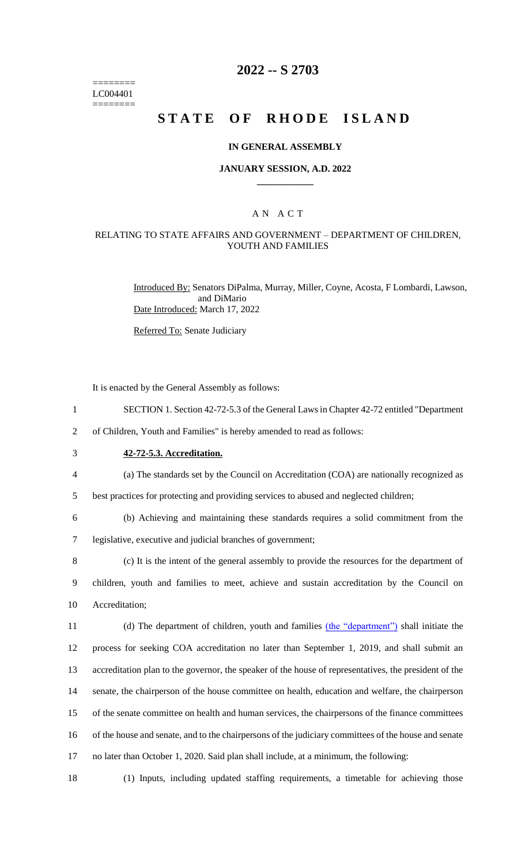======== LC004401 ========

## **2022 -- S 2703**

# **STATE OF RHODE ISLAND**

### **IN GENERAL ASSEMBLY**

### **JANUARY SESSION, A.D. 2022 \_\_\_\_\_\_\_\_\_\_\_\_**

## A N A C T

### RELATING TO STATE AFFAIRS AND GOVERNMENT – DEPARTMENT OF CHILDREN, YOUTH AND FAMILIES

Introduced By: Senators DiPalma, Murray, Miller, Coyne, Acosta, F Lombardi, Lawson, and DiMario Date Introduced: March 17, 2022

Referred To: Senate Judiciary

It is enacted by the General Assembly as follows:

- 1 SECTION 1. Section 42-72-5.3 of the General Laws in Chapter 42-72 entitled "Department
- 2 of Children, Youth and Families" is hereby amended to read as follows:
- 

## 3 **42-72-5.3. Accreditation.**

4 (a) The standards set by the Council on Accreditation (COA) are nationally recognized as

5 best practices for protecting and providing services to abused and neglected children;

6 (b) Achieving and maintaining these standards requires a solid commitment from the 7 legislative, executive and judicial branches of government;

8 (c) It is the intent of the general assembly to provide the resources for the department of 9 children, youth and families to meet, achieve and sustain accreditation by the Council on 10 Accreditation;

11 (d) The department of children, youth and families (the "department") shall initiate the process for seeking COA accreditation no later than September 1, 2019, and shall submit an accreditation plan to the governor, the speaker of the house of representatives, the president of the senate, the chairperson of the house committee on health, education and welfare, the chairperson of the senate committee on health and human services, the chairpersons of the finance committees of the house and senate, and to the chairpersons of the judiciary committees of the house and senate no later than October 1, 2020. Said plan shall include, at a minimum, the following:

18 (1) Inputs, including updated staffing requirements, a timetable for achieving those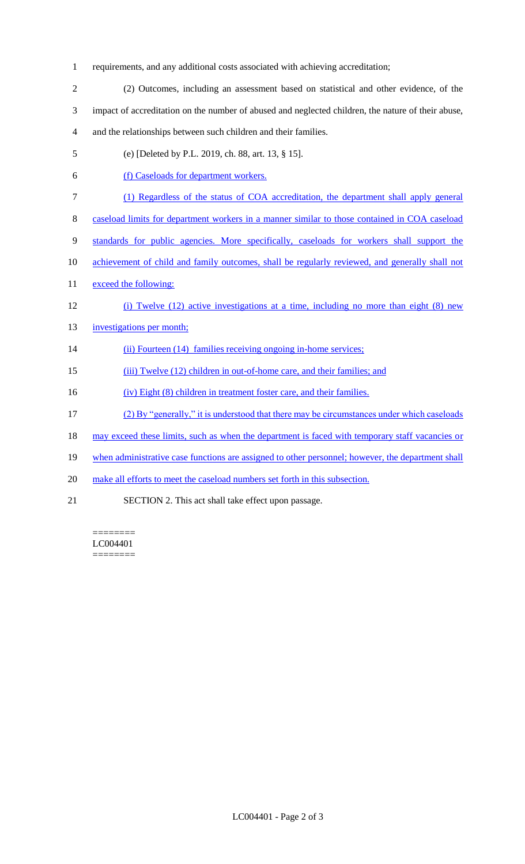- 1 requirements, and any additional costs associated with achieving accreditation;
- 2 (2) Outcomes, including an assessment based on statistical and other evidence, of the 3 impact of accreditation on the number of abused and neglected children, the nature of their abuse, 4 and the relationships between such children and their families.
- 5 (e) [Deleted by P.L. 2019, ch. 88, art. 13, § 15].
- 6 (f) Caseloads for department workers.
- 7 (1) Regardless of the status of COA accreditation, the department shall apply general
- 8 caseload limits for department workers in a manner similar to those contained in COA caseload
- 9 standards for public agencies. More specifically, caseloads for workers shall support the
- 10 achievement of child and family outcomes, shall be regularly reviewed, and generally shall not
- 11 exceed the following:
- 12 (i) Twelve (12) active investigations at a time, including no more than eight (8) new
- 13 investigations per month;
- 14 (ii) Fourteen (14) families receiving ongoing in-home services;
- 15 (iii) Twelve (12) children in out-of-home care, and their families; and
- 16 (iv) Eight (8) children in treatment foster care, and their families.
- 17 (2) By "generally," it is understood that there may be circumstances under which caseloads
- 18 may exceed these limits, such as when the department is faced with temporary staff vacancies or
- 19 when administrative case functions are assigned to other personnel; however, the department shall
- 20 make all efforts to meet the caseload numbers set forth in this subsection.
- 21 SECTION 2. This act shall take effect upon passage.

======== LC004401 ========